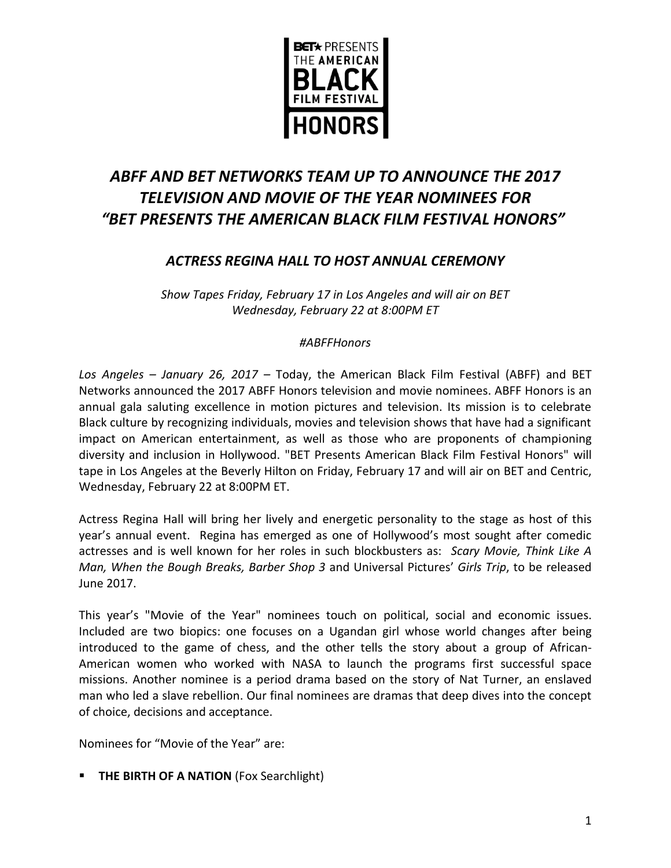

# *ABFF AND BET NETWORKS TEAM UP TO ANNOUNCE THE 2017 TELEVISION AND MOVIE OF THE YEAR NOMINEES FOR "BET PRESENTS THE AMERICAN BLACK FILM FESTIVAL HONORS"*

## *ACTRESS REGINA HALL TO HOST ANNUAL CEREMONY*

*Show Tapes Friday, February 17 in Los Angeles and will air on BET Wednesday, February 22 at 8:00PM ET*

### *#ABFFHonors*

*Los Angeles – January 26, 2017 –* Today, the American Black Film Festival (ABFF) and BET Networks announced the 2017 ABFF Honors television and movie nominees. ABFF Honors is an annual gala saluting excellence in motion pictures and television. Its mission is to celebrate Black culture by recognizing individuals, movies and television shows that have had a significant impact on American entertainment, as well as those who are proponents of championing diversity and inclusion in Hollywood. "BET Presents American Black Film Festival Honors" will tape in Los Angeles at the Beverly Hilton on Friday, February 17 and will air on BET and Centric, Wednesday, February 22 at 8:00PM ET.

Actress Regina Hall will bring her lively and energetic personality to the stage as host of this year's annual event. Regina has emerged as one of Hollywood's most sought after comedic actresses and is well known for her roles in such blockbusters as: *Scary Movie, Think Like A Man, When the Bough Breaks, Barber Shop 3* and Universal Pictures' *Girls Trip*, to be released June 2017.

This year's "Movie of the Year" nominees touch on political, social and economic issues. Included are two biopics: one focuses on a Ugandan girl whose world changes after being introduced to the game of chess, and the other tells the story about a group of African-American women who worked with NASA to launch the programs first successful space missions. Another nominee is a period drama based on the story of Nat Turner, an enslaved man who led a slave rebellion. Our final nominees are dramas that deep dives into the concept of choice, decisions and acceptance.

Nominees for "Movie of the Year" are:

**THE BIRTH OF A NATION** (Fox Searchlight)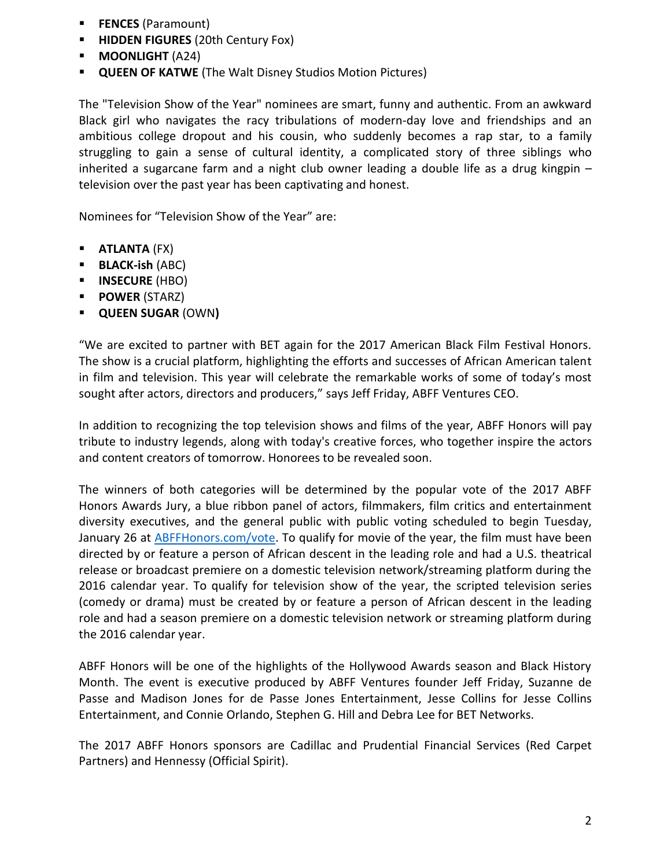- **FENCES** (Paramount)
- **HIDDEN FIGURES** (20th Century Fox)
- **MOONLIGHT** (A24)
- **QUEEN OF KATWE** (The Walt Disney Studios Motion Pictures)

The "Television Show of the Year" nominees are smart, funny and authentic. From an awkward Black girl who navigates the racy tribulations of modern-day love and friendships and an ambitious college dropout and his cousin, who suddenly becomes a rap star, to a family struggling to gain a sense of cultural identity, a complicated story of three siblings who inherited a sugarcane farm and a night club owner leading a double life as a drug kingpin – television over the past year has been captivating and honest.

Nominees for "Television Show of the Year" are:

- **ATLANTA** (FX)
- **BLACK-ish** (ABC)
- **INSECURE** (HBO)
- **POWER** (STARZ)
- **QUEEN SUGAR** (OWN**)**

"We are excited to partner with BET again for the 2017 American Black Film Festival Honors. The show is a crucial platform, highlighting the efforts and successes of African American talent in film and television. This year will celebrate the remarkable works of some of today's most sought after actors, directors and producers," says Jeff Friday, ABFF Ventures CEO.

In addition to recognizing the top television shows and films of the year, ABFF Honors will pay tribute to industry legends, along with today's creative forces, who together inspire the actors and content creators of tomorrow. Honorees to be revealed soon.

The winners of both categories will be determined by the popular vote of the 2017 ABFF Honors Awards Jury, a blue ribbon panel of actors, filmmakers, film critics and entertainment diversity executives, and the general public with public voting scheduled to begin Tuesday, January 26 at [ABFFHonors.com/vote.](http://abffhonors.com/vote/) To qualify for movie of the year, the film must have been directed by or feature a person of African descent in the leading role and had a U.S. theatrical release or broadcast premiere on a domestic television network/streaming platform during the 2016 calendar year. To qualify for television show of the year, the scripted television series (comedy or drama) must be created by or feature a person of African descent in the leading role and had a season premiere on a domestic television network or streaming platform during the 2016 calendar year.

ABFF Honors will be one of the highlights of the Hollywood Awards season and Black History Month. The event is executive produced by ABFF Ventures founder Jeff Friday, Suzanne de Passe and Madison Jones for de Passe Jones Entertainment, Jesse Collins for Jesse Collins Entertainment, and Connie Orlando, Stephen G. Hill and Debra Lee for BET Networks.

The 2017 ABFF Honors sponsors are Cadillac and Prudential Financial Services (Red Carpet Partners) and Hennessy (Official Spirit).